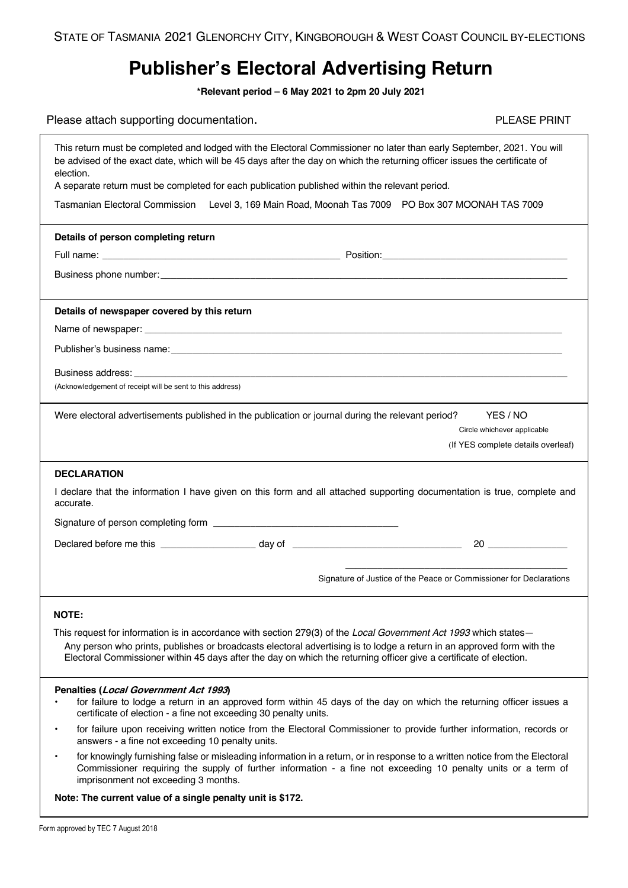## **Publisher's Electoral Advertising Return**

**\*Relevant period – 6 May 2021 to 2pm 20 July 2021**

| Please attach supporting documentation. | <b>PLEASE PRINT</b> |
|-----------------------------------------|---------------------|
|-----------------------------------------|---------------------|

|  |  |  | <b>PLEASE PRINT</b> |  |
|--|--|--|---------------------|--|
|  |  |  |                     |  |

| This return must be completed and lodged with the Electoral Commissioner no later than early September, 2021. You will<br>be advised of the exact date, which will be 45 days after the day on which the returning officer issues the certificate of<br>election.<br>A separate return must be completed for each publication published within the relevant period. |  |
|---------------------------------------------------------------------------------------------------------------------------------------------------------------------------------------------------------------------------------------------------------------------------------------------------------------------------------------------------------------------|--|
| <b>Tasmanian Electoral Commission</b><br>Level 3, 169 Main Road, Moonah Tas 7009  PO Box 307 MOONAH TAS 7009                                                                                                                                                                                                                                                        |  |
| Details of person completing return                                                                                                                                                                                                                                                                                                                                 |  |
|                                                                                                                                                                                                                                                                                                                                                                     |  |
|                                                                                                                                                                                                                                                                                                                                                                     |  |
| Details of newspaper covered by this return                                                                                                                                                                                                                                                                                                                         |  |
|                                                                                                                                                                                                                                                                                                                                                                     |  |
|                                                                                                                                                                                                                                                                                                                                                                     |  |
| Business address: experience of the contract of the contract of the contract of the contract of the contract of the contract of the contract of the contract of the contract of the contract of the contract of the contract o                                                                                                                                      |  |
| (Acknowledgement of receipt will be sent to this address)                                                                                                                                                                                                                                                                                                           |  |
| Were electoral advertisements published in the publication or journal during the relevant period?<br>YES / NO<br>Circle whichever applicable<br>(If YES complete details overleaf)                                                                                                                                                                                  |  |
| <b>DECLARATION</b>                                                                                                                                                                                                                                                                                                                                                  |  |
| I declare that the information I have given on this form and all attached supporting documentation is true, complete and<br>accurate.                                                                                                                                                                                                                               |  |
|                                                                                                                                                                                                                                                                                                                                                                     |  |
| $20 \quad \overline{\qquad}$                                                                                                                                                                                                                                                                                                                                        |  |
| Signature of Justice of the Peace or Commissioner for Declarations                                                                                                                                                                                                                                                                                                  |  |
| <b>NOTE:</b>                                                                                                                                                                                                                                                                                                                                                        |  |
| This request for information is in accordance with section 279(3) of the Local Government Act 1993 which states-<br>Any person who prints, publishes or broadcasts electoral advertising is to lodge a return in an approved form with the<br>Electoral Commissioner within 45 days after the day on which the returning officer give a certificate of election.    |  |
| Penalties (Local Government Act 1993)<br>for failure to lodge a return in an approved form within 45 days of the day on which the returning officer issues a<br>certificate of election - a fine not exceeding 30 penalty units.                                                                                                                                    |  |
| for failure upon receiving written notice from the Electoral Commissioner to provide further information, records or<br>$\bullet$<br>answers - a fine not exceeding 10 penalty units.                                                                                                                                                                               |  |
| for knowingly furnishing false or misleading information in a return, or in response to a written notice from the Electoral<br>$\bullet$<br>Commissioner requiring the supply of further information - a fine not exceeding 10 penalty units or a term of<br>imprisonment not exceeding 3 months.                                                                   |  |
| Note: The current value of a single penalty unit is \$172.                                                                                                                                                                                                                                                                                                          |  |